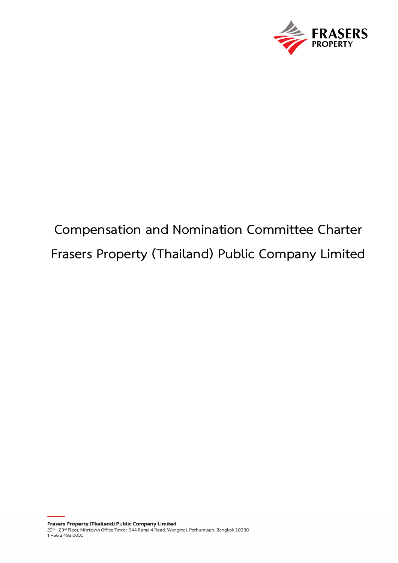

# **Compensation and Nomination Committee Charter Frasers Property (Thailand) Public Company Limited**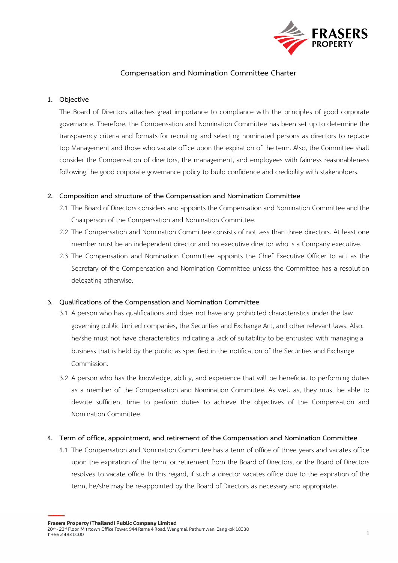

# **Compensation and Nomination Committee Charter**

### **1. Objective**

The Board of Directors attaches great importance to compliance with the principles of good corporate governance. Therefore, the Compensation and Nomination Committee has been set up to determine the transparency criteria and formats for recruiting and selecting nominated persons as directors to replace top Management and those who vacate office upon the expiration of the term. Also, the Committee shall consider the Compensation of directors, the management, and employees with fairness reasonableness following the good corporate governance policy to build confidence and credibility with stakeholders.

## **2. Composition and structure of the Compensation and Nomination Committee**

- 2.1 The Board of Directors considers and appoints the Compensation and Nomination Committee and the Chairperson of the Compensation and Nomination Committee.
- 2.2 The Compensation and Nomination Committee consists of not less than three directors. At least one member must be an independent director and no executive director who is a Company executive.
- 2.3 The Compensation and Nomination Committee appoints the Chief Executive Officer to act as the Secretary of the Compensation and Nomination Committee unless the Committee has a resolution delegating otherwise.

#### **3. Qualifications of the Compensation and Nomination Committee**

- 3.1 A person who has qualifications and does not have any prohibited characteristics under the law governing public limited companies, the Securities and Exchange Act, and other relevant laws. Also, he/she must not have characteristics indicating a lack of suitability to be entrusted with managing a business that is held by the public as specified in the notification of the Securities and Exchange Commission.
- 3.2 A person who has the knowledge, ability, and experience that will be beneficial to performing duties as a member of the Compensation and Nomination Committee. As well as, they must be able to devote sufficient time to perform duties to achieve the objectives of the Compensation and Nomination Committee.

#### **4. Term of office, appointment, and retirement of the Compensation and Nomination Committee**

4.1 The Compensation and Nomination Committee has a term of office of three years and vacates office upon the expiration of the term, or retirement from the Board of Directors, or the Board of Directors resolves to vacate office. In this regard, if such a director vacates office due to the expiration of the term, he/she may be re-appointed by the Board of Directors as necessary and appropriate.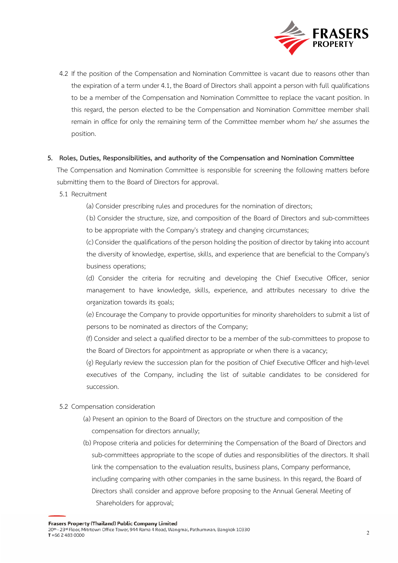

4.2 If the position of the Compensation and Nomination Committee is vacant due to reasons other than the expiration of a term under 4.1, the Board of Directors shall appoint a person with full qualifications to be a member of the Compensation and Nomination Committee to replace the vacant position. In this regard, the person elected to be the Compensation and Nomination Committee member shall remain in office for only the remaining term of the Committee member whom he/ she assumes the position.

## **5. Roles, Duties, Responsibilities, and authority of the Compensation and Nomination Committee**

The Compensation and Nomination Committee is responsible for screening the following matters before submitting them to the Board of Directors for approval.

- 5.1 Recruitment
	- (a) Consider prescribing rules and procedures for the nomination of directors;

( b) Consider the structure, size, and composition of the Board of Directors and sub-committees to be appropriate with the Company's strategy and changing circumstances;

(c) Consider the qualifications of the person holding the position of director by taking into account the diversity of knowledge, expertise, skills, and experience that are beneficial to the Company's business operations;

(d) Consider the criteria for recruiting and developing the Chief Executive Officer, senior management to have knowledge, skills, experience, and attributes necessary to drive the organization towards its goals;

(e) Encourage the Company to provide opportunities for minority shareholders to submit a list of persons to be nominated as directors of the Company;

(f) Consider and select a qualified director to be a member of the sub-committees to propose to the Board of Directors for appointment as appropriate or when there is a vacancy;

(g) Regularly review the succession plan for the position of Chief Executive Officer and high-level executives of the Company, including the list of suitable candidates to be considered for succession.

- 5.2 Compensation consideration
	- (a) Present an opinion to the Board of Directors on the structure and composition of the compensation for directors annually;
	- (b) Propose criteria and policies for determining the Compensation of the Board of Directors and sub-committees appropriate to the scope of duties and responsibilities of the directors. It shall link the compensation to the evaluation results, business plans, Company performance, including comparing with other companies in the same business. In this regard, the Board of Directors shall consider and approve before proposing to the Annual General Meeting of Shareholders for approval;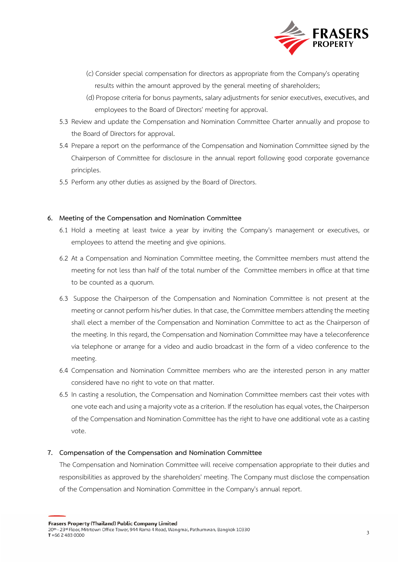

- (c) Consider special compensation for directors as appropriate from the Company's operating results within the amount approved by the general meeting of shareholders;
- (d) Propose criteria for bonus payments, salary adjustments for senior executives, executives, and employees to the Board of Directors' meeting for approval.
- 5.3 Review and update the Compensation and Nomination Committee Charter annually and propose to the Board of Directors for approval.
- 5.4 Prepare a report on the performance of the Compensation and Nomination Committee signed by the Chairperson of Committee for disclosure in the annual report following good corporate governance principles.
- 5.5 Perform any other duties as assigned by the Board of Directors.

# **6. Meeting of the Compensation and Nomination Committee**

- 6.1 Hold a meeting at least twice a year by inviting the Company's management or executives, or employees to attend the meeting and give opinions.
- 6.2 At a Compensation and Nomination Committee meeting, the Committee members must attend the meeting for not less than half of the total number of the Committee members in office at that time to be counted as a quorum.
- 6.3 Suppose the Chairperson of the Compensation and Nomination Committee is not present at the meeting or cannot perform his/her duties. In that case, the Committee members attending the meeting shall elect a member of the Compensation and Nomination Committee to act as the Chairperson of the meeting. In this regard, the Compensation and Nomination Committee may have a teleconference via telephone or arrange for a video and audio broadcast in the form of a video conference to the meeting.
- 6.4 Compensation and Nomination Committee members who are the interested person in any matter considered have no right to vote on that matter.
- 6.5 In casting a resolution, the Compensation and Nomination Committee members cast their votes with one vote each and using a majority vote as a criterion. If the resolution has equal votes, the Chairperson of the Compensation and Nomination Committee has the right to have one additional vote as a casting vote.

# **7. Compensation of the Compensation and Nomination Committee**

The Compensation and Nomination Committee will receive compensation appropriate to their duties and responsibilities as approved by the shareholders' meeting. The Company must disclose the compensation of the Compensation and Nomination Committee in the Company's annual report.